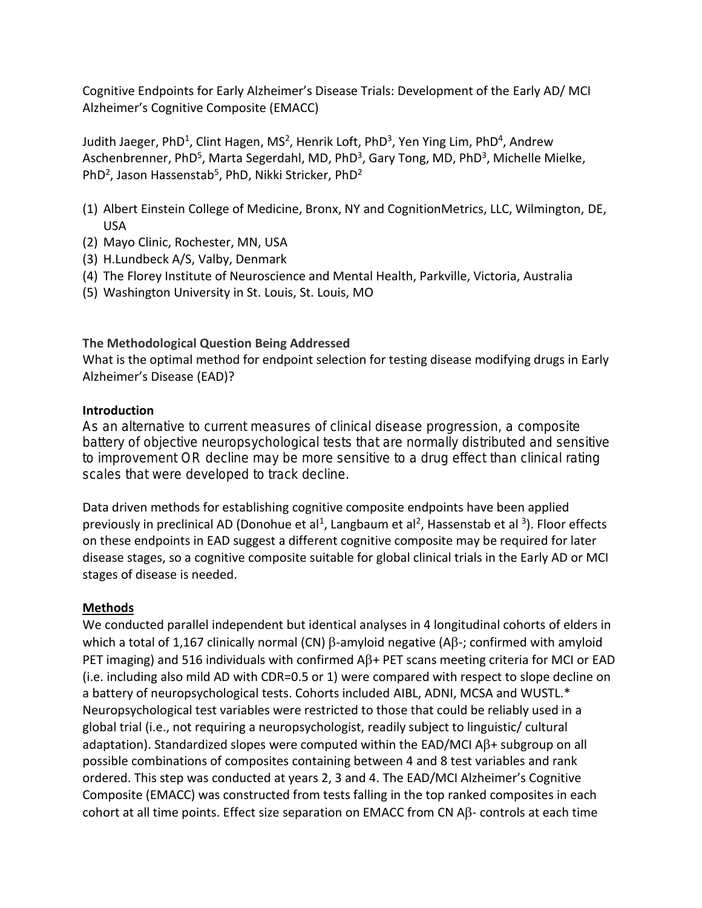Cognitive Endpoints for Early Alzheimer's Disease Trials: Development of the Early AD/ MCI Alzheimer's Cognitive Composite (EMACC)

Judith Jaeger, PhD<sup>1</sup>, Clint Hagen, MS<sup>2</sup>, Henrik Loft, PhD<sup>3</sup>, Yen Ying Lim, PhD<sup>4</sup>, Andrew Aschenbrenner, PhD<sup>5</sup>, Marta Segerdahl, MD, PhD<sup>3</sup>, Gary Tong, MD, PhD<sup>3</sup>, Michelle Mielke, PhD<sup>2</sup>, Jason Hassenstab<sup>5</sup>, PhD, Nikki Stricker, PhD<sup>2</sup>

- (1) Albert Einstein College of Medicine, Bronx, NY and CognitionMetrics, LLC, Wilmington, DE, USA
- (2) Mayo Clinic, Rochester, MN, USA
- (3) H.Lundbeck A/S, Valby, Denmark
- (4) The Florey Institute of Neuroscience and Mental Health, Parkville, Victoria, Australia
- (5) Washington University in St. Louis, St. Louis, MO

### **The Methodological Question Being Addressed**

What is the optimal method for endpoint selection for testing disease modifying drugs in Early Alzheimer's Disease (EAD)?

### **Introduction**

**As an alternative to current measures of clinical disease progression, a composite battery of objective neuropsychological tests that are normally distributed and sensitive to improvement OR decline may be more sensitive to a drug effect than clinical rating scales that were developed to track decline.** 

Data driven methods for establishing cognitive composite endpoints have been applied previously in preclinical AD (Donohue et al<sup>1</sup>, Langbaum et al<sup>2</sup>, Hassenstab et al <sup>3</sup>). Floor effects on these endpoints in EAD suggest a different cognitive composite may be required for later disease stages, so a cognitive composite suitable for global clinical trials in the Early AD or MCI stages of disease is needed.

# **Methods**

We conducted parallel independent but identical analyses in 4 longitudinal cohorts of elders in which a total of 1,167 clinically normal (CN)  $\beta$ -amyloid negative (A $\beta$ -; confirmed with amyloid PET imaging) and 516 individuals with confirmed  $AB+PET$  scans meeting criteria for MCI or EAD (i.e. including also mild AD with CDR=0.5 or 1) were compared with respect to slope decline on a battery of neuropsychological tests. Cohorts included AIBL, ADNI, MCSA and WUSTL.\* Neuropsychological test variables were restricted to those that could be reliably used in a global trial (i.e., not requiring a neuropsychologist, readily subject to linguistic/ cultural adaptation). Standardized slopes were computed within the EAD/MCI A $\beta$ + subgroup on all possible combinations of composites containing between 4 and 8 test variables and rank ordered. This step was conducted at years 2, 3 and 4. The EAD/MCI Alzheimer's Cognitive Composite (EMACC) was constructed from tests falling in the top ranked composites in each cohort at all time points. Effect size separation on EMACC from CN  $\mathsf{AB}\text{-}$  controls at each time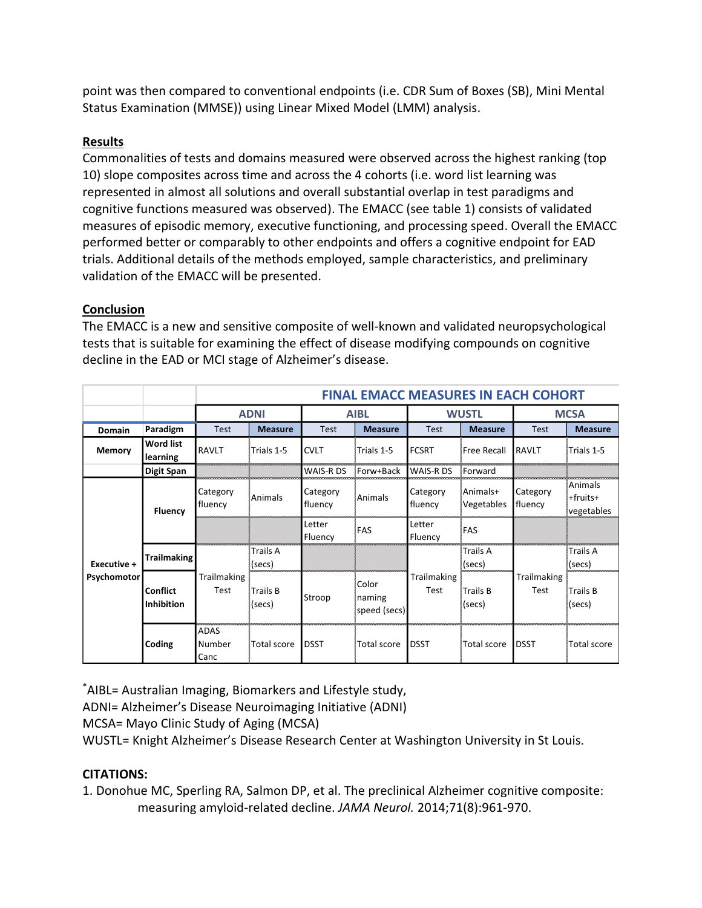point was then compared to conventional endpoints (i.e. CDR Sum of Boxes (SB), Mini Mental Status Examination (MMSE)) using Linear Mixed Model (LMM) analysis.

## **Results**

Commonalities of tests and domains measured were observed across the highest ranking (top 10) slope composites across time and across the 4 cohorts (i.e. word list learning was represented in almost all solutions and overall substantial overlap in test paradigms and cognitive functions measured was observed). The EMACC (see table 1) consists of validated measures of episodic memory, executive functioning, and processing speed. Overall the EMACC performed better or comparably to other endpoints and offers a cognitive endpoint for EAD trials. Additional details of the methods employed, sample characteristics, and preliminary validation of the EMACC will be presented.

## **Conclusion**

The EMACC is a new and sensitive composite of well-known and validated neuropsychological tests that is suitable for examining the effect of disease modifying compounds on cognitive decline in the EAD or MCI stage of Alzheimer's disease.

|                            |                                      | <b>FINAL EMACC MEASURES IN EACH COHORT</b> |                     |                     |                                 |                     |                           |                     |                                   |
|----------------------------|--------------------------------------|--------------------------------------------|---------------------|---------------------|---------------------------------|---------------------|---------------------------|---------------------|-----------------------------------|
|                            |                                      | <b>ADNI</b>                                |                     | <b>AIBL</b>         |                                 | <b>WUSTL</b>        |                           | <b>MCSA</b>         |                                   |
| Domain                     | Paradigm                             | <b>Test</b>                                | <b>Measure</b>      | <b>Test</b>         | <b>Measure</b>                  | <b>Test</b>         | <b>Measure</b>            | <b>Test</b>         | <b>Measure</b>                    |
| Memory                     | <b>Word list</b><br>learning         | RAVLT                                      | Trials 1-5          | <b>CVLT</b>         | Trials 1-5                      | <b>FCSRT</b>        | Free Recall               | <b>RAVLT</b>        | Trials 1-5                        |
|                            | <b>Digit Span</b>                    |                                            |                     | WAIS-R DS           | Forw+Back                       | WAIS-R DS           | Forward                   |                     |                                   |
| Executive +<br>Psychomotor | <b>Fluency</b>                       | Category<br>fluency                        | <b>Animals</b>      | Category<br>fluency | Animals                         | Category<br>fluency | Animals+<br>Vegetables    | Category<br>fluency | Animals<br>+fruits+<br>vegetables |
|                            |                                      |                                            |                     | Letter<br>Fluency   | FAS                             | Letter<br>Fluency   | FAS                       |                     |                                   |
|                            | <b>Trailmaking</b>                   | Trailmaking<br>Test                        | ≬Trails A<br>(secs) |                     |                                 |                     | <b>Trails A</b><br>(secs) | Trailmaking<br>Test | <b>Trails A</b><br>(secs)         |
|                            | <b>Conflict</b><br><b>Inhibition</b> |                                            | ∤Trails Β<br>(secs) | Stroop              | Color<br>naming<br>speed (secs) | Trailmaking<br>Test | Trails B<br>(secs)        |                     | ∛Trails B<br>(secs)               |
|                            | Coding                               | ADAS<br>Number<br>Canc                     | <b>Total score</b>  | <b>DSST</b>         | Total score                     | <b>DSST</b>         | <b>Total score</b>        | <b>DSST</b>         | Total score                       |

\*AIBL= Australian Imaging, Biomarkers and Lifestyle study,

ADNI= Alzheimer's Disease Neuroimaging Initiative (ADNI)

MCSA= Mayo Clinic Study of Aging (MCSA)

WUSTL= Knight Alzheimer's Disease Research Center at Washington University in St Louis.

# **CITATIONS:**

1. Donohue MC, Sperling RA, Salmon DP, et al. The preclinical Alzheimer cognitive composite: measuring amyloid-related decline. *JAMA Neurol.* 2014;71(8):961-970.